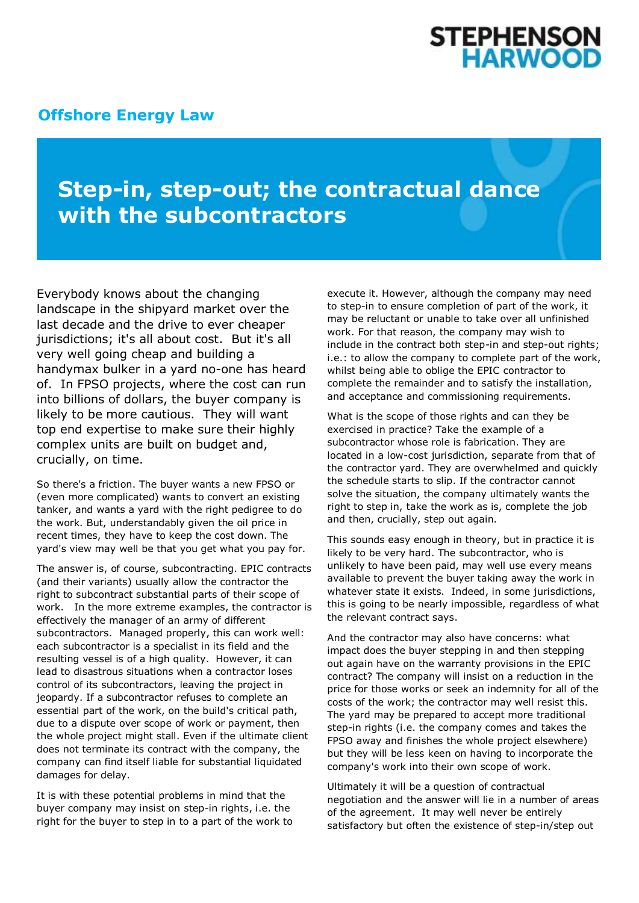## **STEPHENSON<br>HARWOOD**

## **[Offshore Energy Law](http://www.offshoreenergylaw.com/)**

## **Step-in, step-out; the contractual dance with the subcontractors**

Everybody knows about the changing landscape in the shipyard market over the last decade and the drive to ever cheaper jurisdictions; it's all about cost. But it's all very well going cheap and building a handymax bulker in a yard no-one has heard of. In FPSO projects, where the cost can run into billions of dollars, the buyer company is likely to be more cautious. They will want top end expertise to make sure their highly complex units are built on budget and, crucially, on time.

So there's a friction. The buyer wants a new FPSO or (even more complicated) wants to convert an existing tanker, and wants a yard with the right pedigree to do the work. But, understandably given the oil price in recent times, they have to keep the cost down. The yard's view may well be that you get what you pay for.

The answer is, of course, subcontracting. EPIC contracts (and their variants) usually allow the contractor the right to subcontract substantial parts of their scope of work. In the more extreme examples, the contractor is effectively the manager of an army of different subcontractors. Managed properly, this can work well: each subcontractor is a specialist in its field and the resulting vessel is of a high quality. However, it can lead to disastrous situations when a contractor loses control of its subcontractors, leaving the project in jeopardy. If a subcontractor refuses to complete an essential part of the work, on the build's critical path, due to a dispute over scope of work or payment, then the whole project might stall. Even if the ultimate client does not terminate its contract with the company, the company can find itself liable for substantial liquidated damages for delay.

It is with these potential problems in mind that the buyer company may insist on step-in rights, i.e. the right for the buyer to step in to a part of the work to

execute it. However, although the company may need to step-in to ensure completion of part of the work, it may be reluctant or unable to take over all unfinished work. For that reason, the company may wish to include in the contract both step-in and step-out rights; i.e.: to allow the company to complete part of the work, whilst being able to oblige the EPIC contractor to complete the remainder and to satisfy the installation, and acceptance and commissioning requirements.

What is the scope of those rights and can they be exercised in practice? Take the example of a subcontractor whose role is fabrication. They are located in a low-cost jurisdiction, separate from that of the contractor yard. They are overwhelmed and quickly the schedule starts to slip. If the contractor cannot solve the situation, the company ultimately wants the right to step in, take the work as is, complete the job and then, crucially, step out again.

This sounds easy enough in theory, but in practice it is likely to be very hard. The subcontractor, who is unlikely to have been paid, may well use every means available to prevent the buyer taking away the work in whatever state it exists. Indeed, in some jurisdictions, this is going to be nearly impossible, regardless of what the relevant contract says.

And the contractor may also have concerns: what impact does the buyer stepping in and then stepping out again have on the warranty provisions in the EPIC contract? The company will insist on a reduction in the price for those works or seek an indemnity for all of the costs of the work; the contractor may well resist this. The yard may be prepared to accept more traditional step-in rights (i.e. the company comes and takes the FPSO away and finishes the whole project elsewhere) but they will be less keen on having to incorporate the company's work into their own scope of work.

Ultimately it will be a question of contractual negotiation and the answer will lie in a number of areas of the agreement. It may well never be entirely satisfactory but often the existence of step-in/step out